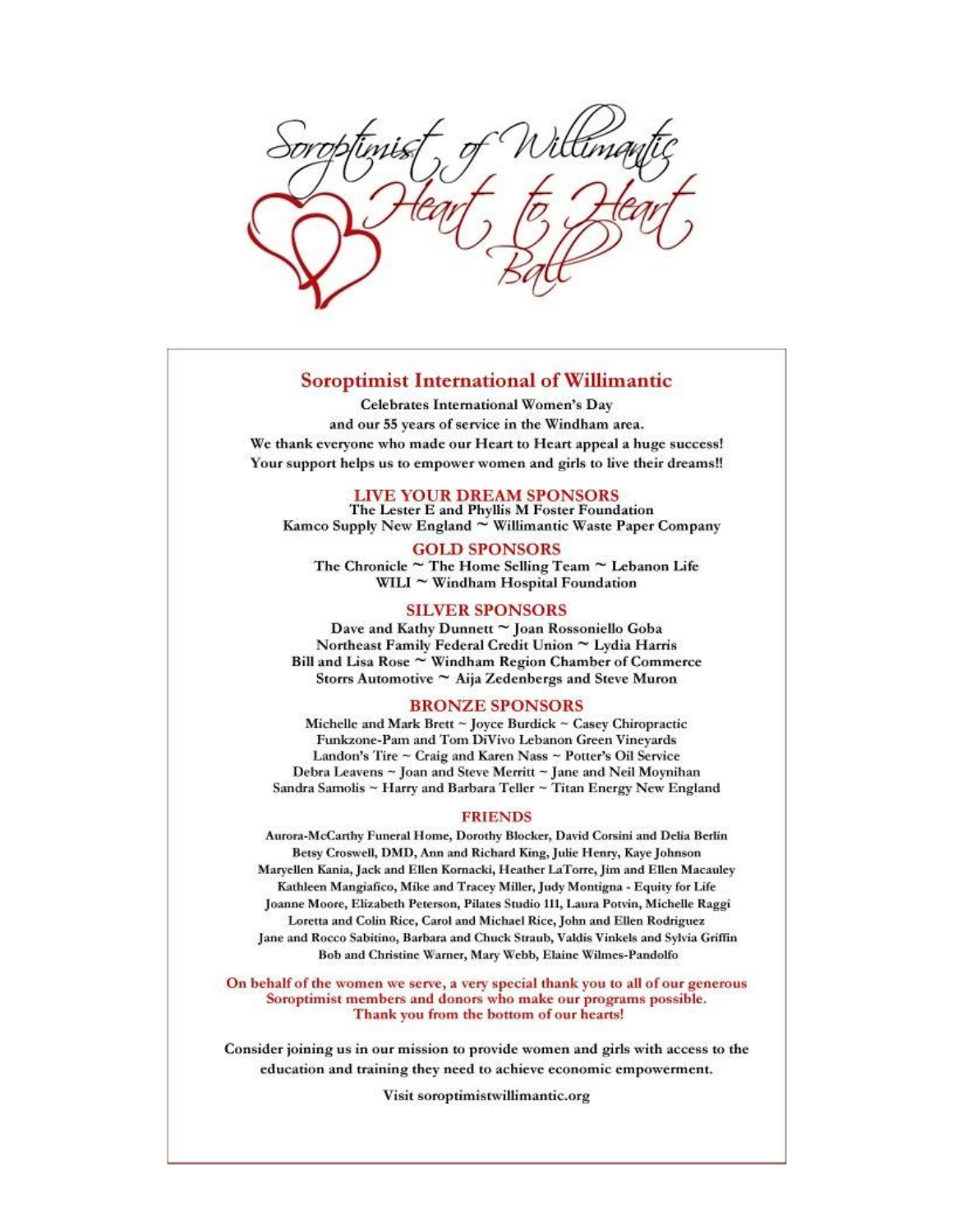# **Soroptimist International of Willimantic**

**Celebrates International Women's Day** and our 55 years of service in the Windham area. We thank everyone who made our Heart to Heart appeal a huge success! Your support helps us to empower women and girls to live their dreams!!

# LIVE YOUR DREAM SPONSORS

The Lester E and Phyllis M Foster Foundation Kamco Supply New England ~ Willimantic Waste Paper Company

### **GOLD SPONSORS**

The Chronicle  $\sim$  The Home Selling Team  $\sim$  Lebanon Life WILI  $\sim$  Windham Hospital Foundation

# **SILVER SPONSORS**

Dave and Kathy Dunnett ~ Joan Rossoniello Goba Northeast Family Federal Credit Union ~ Lydia Harris Bill and Lisa Rose ~ Windham Region Chamber of Commerce Storrs Automotive ~ Aija Zedenbergs and Steve Muron

#### **BRONZE SPONSORS**

Michelle and Mark Brett ~ Joyce Burdick ~ Casey Chiropractic Funkzone-Pam and Tom DiVivo Lebanon Green Vineyards Landon's Tire ~ Craig and Karen Nass ~ Potter's Oil Service Debra Leavens ~ Joan and Steve Merritt ~ Jane and Neil Moynihan Sandra Samolis ~ Harry and Barbara Teller ~ Titan Energy New England

#### **FRIENDS**

Aurora-McCarthy Funeral Home, Dorothy Blocker, David Corsini and Delia Berlin Betsy Croswell, DMD, Ann and Richard King, Julie Henry, Kaye Johnson Maryellen Kania, Jack and Ellen Kornacki, Heather LaTorre, Jim and Ellen Macauley Kathleen Mangiafico, Mike and Tracey Miller, Judy Montigna - Equity for Life Joanne Moore, Elizabeth Peterson, Pilates Studio 111, Laura Potvin, Michelle Raggi Loretta and Colin Rice, Carol and Michael Rice, John and Ellen Rodriguez Jane and Rocco Sabitino, Barbara and Chuck Straub, Valdis Vinkels and Sylvia Griffin Bob and Christine Warner, Mary Webb, Elaine Wilmes-Pandolfo

On behalf of the women we serve, a very special thank you to all of our generous Soroptimist members and donors who make our programs possible. Thank you from the bottom of our hearts!

Consider joining us in our mission to provide women and girls with access to the education and training they need to achieve economic empowerment.

Visit soroptimistwillimantic.org